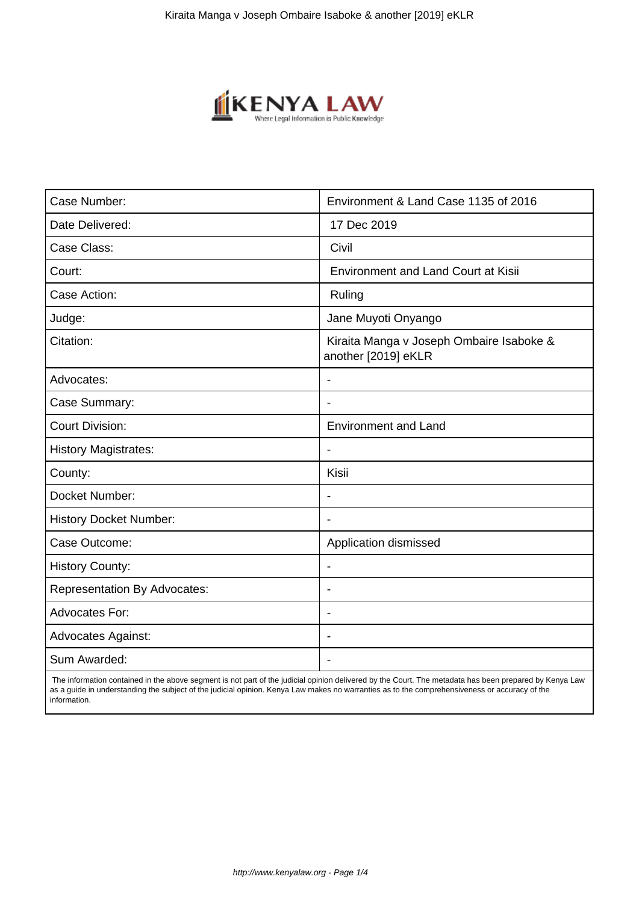

| Case Number:                        | Environment & Land Case 1135 of 2016                            |
|-------------------------------------|-----------------------------------------------------------------|
| Date Delivered:                     | 17 Dec 2019                                                     |
| Case Class:                         | Civil                                                           |
| Court:                              | <b>Environment and Land Court at Kisii</b>                      |
| Case Action:                        | Ruling                                                          |
| Judge:                              | Jane Muyoti Onyango                                             |
| Citation:                           | Kiraita Manga v Joseph Ombaire Isaboke &<br>another [2019] eKLR |
| Advocates:                          | $\blacksquare$                                                  |
| Case Summary:                       |                                                                 |
| <b>Court Division:</b>              | <b>Environment and Land</b>                                     |
| <b>History Magistrates:</b>         | $\blacksquare$                                                  |
| County:                             | Kisii                                                           |
| Docket Number:                      | $\overline{\phantom{0}}$                                        |
| <b>History Docket Number:</b>       |                                                                 |
| Case Outcome:                       | Application dismissed                                           |
| <b>History County:</b>              | $\blacksquare$                                                  |
| <b>Representation By Advocates:</b> | $\overline{\phantom{0}}$                                        |
| <b>Advocates For:</b>               | $\blacksquare$                                                  |
| <b>Advocates Against:</b>           |                                                                 |
| Sum Awarded:                        |                                                                 |

 The information contained in the above segment is not part of the judicial opinion delivered by the Court. The metadata has been prepared by Kenya Law as a guide in understanding the subject of the judicial opinion. Kenya Law makes no warranties as to the comprehensiveness or accuracy of the information.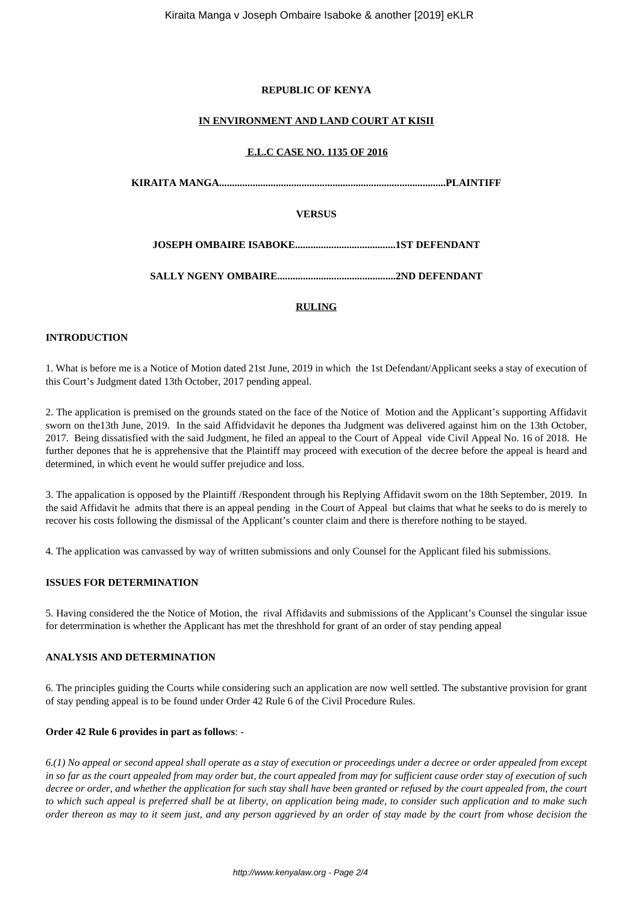## **REPUBLIC OF KENYA**

## **IN ENVIRONMENT AND LAND COURT AT KISII**

## **E.L.C CASE NO. 1135 OF 2016**

**KIRAITA MANGA........................................................................................PLAINTIFF**

# **VERSUS**

**JOSEPH OMBAIRE ISABOKE.......................................1ST DEFENDANT**

**SALLY NGENY OMBAIRE..............................................2ND DEFENDANT**

# **RULING**

## **INTRODUCTION**

1. What is before me is a Notice of Motion dated 21st June, 2019 in which the 1st Defendant/Applicant seeks a stay of execution of this Court's Judgment dated 13th October, 2017 pending appeal.

2. The application is premised on the grounds stated on the face of the Notice of Motion and the Applicant's supporting Affidavit sworn on the13th June, 2019. In the said Affidvidavit he depones tha Judgment was delivered against him on the 13th October, 2017. Being dissatisfied with the said Judgment, he filed an appeal to the Court of Appeal vide Civil Appeal No. 16 of 2018. He further depones that he is apprehensive that the Plaintiff may proceed with execution of the decree before the appeal is heard and determined, in which event he would suffer prejudice and loss.

3. The appalication is opposed by the Plaintiff /Respondent through his Replying Affidavit sworn on the 18th September, 2019. In the said Affidavit he admits that there is an appeal pending in the Court of Appeal but claims that what he seeks to do is merely to recover his costs following the dismissal of the Applicant's counter claim and there is therefore nothing to be stayed.

4. The application was canvassed by way of written submissions and only Counsel for the Applicant filed his submissions.

# **ISSUES FOR DETERMINATION**

5. Having considered the the Notice of Motion, the rival Affidavits and submissions of the Applicant's Counsel the singular issue for deterrmination is whether the Applicant has met the threshhold for grant of an order of stay pending appeal

## **ANALYSIS AND DETERMINATION**

6. The principles guiding the Courts while considering such an application are now well settled. The substantive provision for grant of stay pending appeal is to be found under Order 42 Rule 6 of the Civil Procedure Rules.

## **Order 42 Rule 6 provides in part as follows**: -

*6.(1) No appeal or second appeal shall operate as a stay of execution or proceedings under a decree or order appealed from except in so far as the court appealed from may order but, the court appealed from may for sufficient cause order stay of execution of such decree or order, and whether the application for such stay shall have been granted or refused by the court appealed from, the court to which such appeal is preferred shall be at liberty, on application being made, to consider such application and to make such order thereon as may to it seem just, and any person aggrieved by an order of stay made by the court from whose decision the*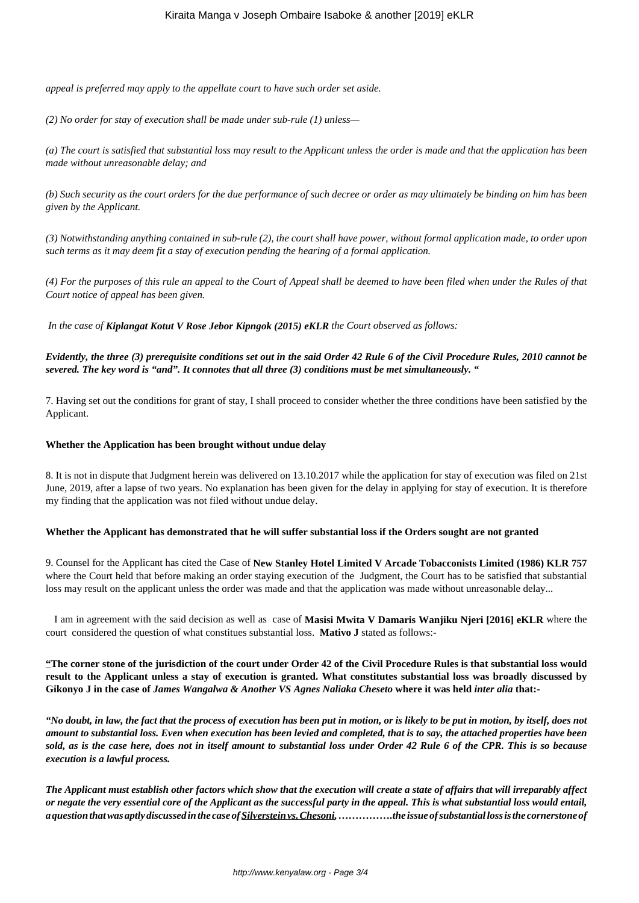*appeal is preferred may apply to the appellate court to have such order set aside.* 

*(2) No order for stay of execution shall be made under sub-rule (1) unless—* 

*(a) The court is satisfied that substantial loss may result to the Applicant unless the order is made and that the application has been made without unreasonable delay; and* 

*(b) Such security as the court orders for the due performance of such decree or order as may ultimately be binding on him has been given by the Applicant.* 

*(3) Notwithstanding anything contained in sub-rule (2), the court shall have power, without formal application made, to order upon such terms as it may deem fit a stay of execution pending the hearing of a formal application.* 

*(4) For the purposes of this rule an appeal to the Court of Appeal shall be deemed to have been filed when under the Rules of that Court notice of appeal has been given.* 

*In the case of Kiplangat Kotut V Rose Jebor Kipngok (2015) eKLR the Court observed as follows:* 

## *Evidently, the three (3) prerequisite conditions set out in the said Order 42 Rule 6 of the Civil Procedure Rules, 2010 cannot be severed. The key word is "and". It connotes that all three (3) conditions must be met simultaneously. "*

7. Having set out the conditions for grant of stay, I shall proceed to consider whether the three conditions have been satisfied by the Applicant.

#### **Whether the Application has been brought without undue delay**

8. It is not in dispute that Judgment herein was delivered on 13.10.2017 while the application for stay of execution was filed on 21st June, 2019, after a lapse of two years. No explanation has been given for the delay in applying for stay of execution. It is therefore my finding that the application was not filed without undue delay.

## **Whether the Applicant has demonstrated that he will suffer substantial loss if the Orders sought are not granted**

9. Counsel for the Applicant has cited the Case of **New Stanley Hotel Limited V Arcade Tobacconists Limited (1986) KLR 757** where the Court held that before making an order staying execution of the Judgment, the Court has to be satisfied that substantial loss may result on the applicant unless the order was made and that the application was made without unreasonable delay...

 I am in agreement with the said decision as well as case of **Masisi Mwita V Damaris Wanjiku Njeri [2016] eKLR** where the court considered the question of what constitues substantial loss. **Mativo J** stated as follows:-

**"The corner stone of the jurisdiction of the court under Order 42 of the Civil Procedure Rules is that substantial loss would result to the Applicant unless a stay of execution is granted. What constitutes substantial loss was broadly discussed by Gikonyo J in the case of** *James Wangalwa & Another VS Agnes Naliaka Cheseto* **where it was held** *inter alia* **that:-**

*"No doubt, in law, the fact that the process of execution has been put in motion, or is likely to be put in motion, by itself, does not amount to substantial loss. Even when execution has been levied and completed, that is to say, the attached properties have been sold, as is the case here, does not in itself amount to substantial loss under Order 42 Rule 6 of the CPR. This is so because execution is a lawful process.*

*The Applicant must establish other factors which show that the execution will create a state of affairs that will irreparably affect or negate the very essential core of the Applicant as the successful party in the appeal. This is what substantial loss would entail, a question that was aptly discussed in the case of Silverstein vs. Chesoni, …………….the issue of substantial loss is the cornerstone of*